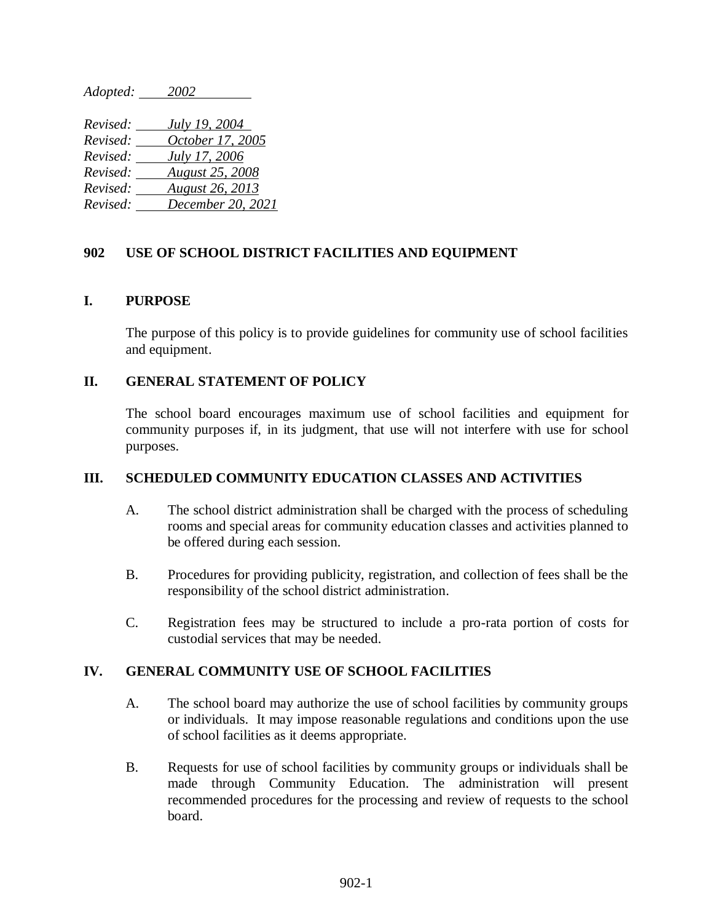*Adopted: 2002* 

| Revised: | July 19, 2004          |
|----------|------------------------|
| Revised: | October 17, 2005       |
| Revised: | July 17, 2006          |
| Revised: | <b>August 25, 2008</b> |
| Revised: | <b>August 26, 2013</b> |
| Revised: | December 20, 2021      |

# **902 USE OF SCHOOL DISTRICT FACILITIES AND EQUIPMENT**

## **I. PURPOSE**

The purpose of this policy is to provide guidelines for community use of school facilities and equipment.

## **II. GENERAL STATEMENT OF POLICY**

The school board encourages maximum use of school facilities and equipment for community purposes if, in its judgment, that use will not interfere with use for school purposes.

### **III. SCHEDULED COMMUNITY EDUCATION CLASSES AND ACTIVITIES**

- A. The school district administration shall be charged with the process of scheduling rooms and special areas for community education classes and activities planned to be offered during each session.
- B. Procedures for providing publicity, registration, and collection of fees shall be the responsibility of the school district administration.
- C. Registration fees may be structured to include a pro-rata portion of costs for custodial services that may be needed.

### **IV. GENERAL COMMUNITY USE OF SCHOOL FACILITIES**

- A. The school board may authorize the use of school facilities by community groups or individuals. It may impose reasonable regulations and conditions upon the use of school facilities as it deems appropriate.
- B. Requests for use of school facilities by community groups or individuals shall be made through Community Education. The administration will present recommended procedures for the processing and review of requests to the school board.